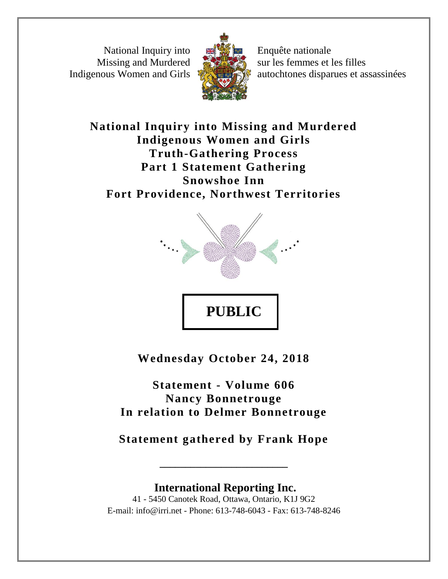National Inquiry into Missing and Murdered Indigenous Women and Girls



Enquête nationale sur les femmes et les filles autochtones disparues et assassinées

**National Inquiry into Missing and Murdered Indigenous Women and Girls Truth-Gathering Process Part 1 Statement Gathering Snowshoe Inn Fort Providence, Northwest Territories**



**Wednesday October 24, 2018**

**Statement - Volume 606 Nancy Bonnetrouge In relation to Delmer Bonnetrouge**

**Statement gathered by Frank Hope**

**\_\_\_\_\_\_\_\_\_\_\_\_\_\_\_\_\_\_\_\_\_\_\_\_\_**

**International Reporting Inc.** 41 - 5450 Canotek Road, Ottawa, Ontario, K1J 9G2 E-mail: info@irri.net - Phone: 613-748-6043 - Fax: 613-748-8246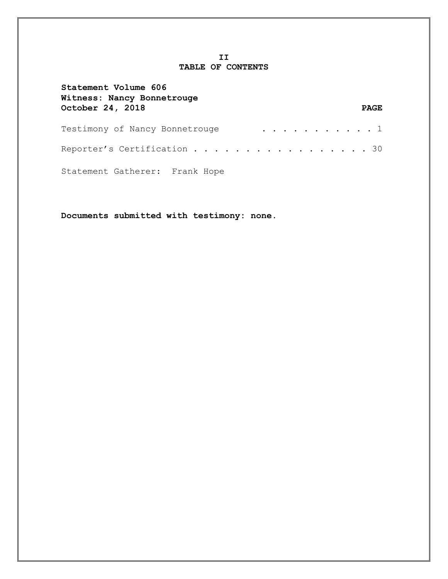## **II TABLE OF CONTENTS**

| Statement Volume 606<br>Witness: Nancy Bonnetrouge |             |
|----------------------------------------------------|-------------|
| October 24, 2018                                   | <b>PAGE</b> |
| . 1<br>Testimony of Nancy Bonnetrouge              |             |
| Reporter's Certification 30                        |             |
| Statement Gatherer: Frank Hope                     |             |

**Documents submitted with testimony: none.**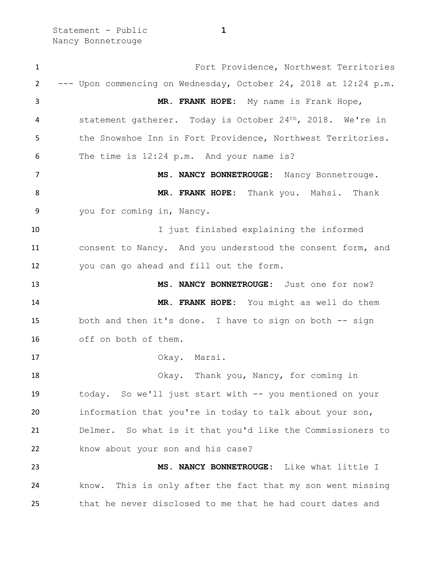Statement - Public **1** Nancy Bonnetrouge

 Fort Providence, Northwest Territories --- Upon commencing on Wednesday, October 24, 2018 at 12:24 p.m. **MR. FRANK HOPE:** My name is Frank Hope, statement gatherer. Today is October 24th, 2018. We're in the Snowshoe Inn in Fort Providence, Northwest Territories. The time is 12:24 p.m. And your name is? 7 MS. NANCY BONNETROUGE: Nancy Bonnetrouge. **MR. FRANK HOPE:** Thank you. Mahsi. Thank you for coming in, Nancy. 10 10 I just finished explaining the informed consent to Nancy. And you understood the consent form, and you can go ahead and fill out the form. **MS. NANCY BONNETROUGE:** Just one for now? **MR. FRANK HOPE:** You might as well do them both and then it's done. I have to sign on both -- sign off on both of them. Okay. Marsi. Okay. Thank you, Nancy, for coming in today. So we'll just start with -- you mentioned on your information that you're in today to talk about your son, Delmer. So what is it that you'd like the Commissioners to know about your son and his case? **MS. NANCY BONNETROUGE:** Like what little I know. This is only after the fact that my son went missing that he never disclosed to me that he had court dates and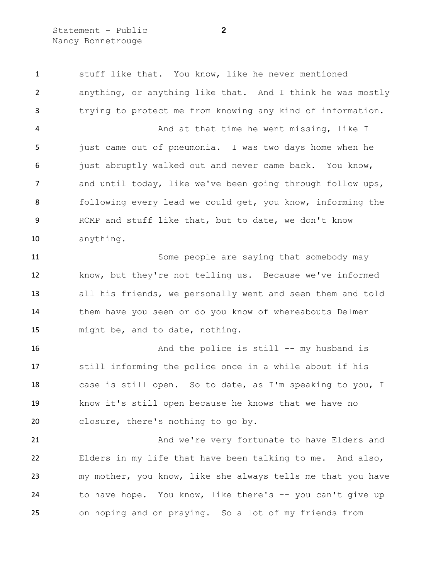Statement - Public **2** Nancy Bonnetrouge

 stuff like that. You know, like he never mentioned anything, or anything like that. And I think he was mostly trying to protect me from knowing any kind of information. And at that time he went missing, like I just came out of pneumonia. I was two days home when he 6 just abruptly walked out and never came back. You know, and until today, like we've been going through follow ups, 8 following every lead we could get, you know, informing the RCMP and stuff like that, but to date, we don't know anything. Some people are saying that somebody may know, but they're not telling us. Because we've informed all his friends, we personally went and seen them and told them have you seen or do you know of whereabouts Delmer might be, and to date, nothing.

16 And the police is still -- my husband is still informing the police once in a while about if his case is still open. So to date, as I'm speaking to you, I know it's still open because he knows that we have no closure, there's nothing to go by.

 And we're very fortunate to have Elders and Elders in my life that have been talking to me. And also, my mother, you know, like she always tells me that you have to have hope. You know, like there's -- you can't give up on hoping and on praying. So a lot of my friends from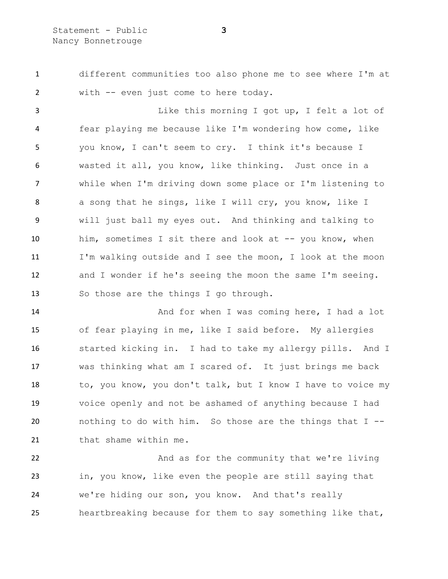different communities too also phone me to see where I'm at with -- even just come to here today.

3 Like this morning I got up, I felt a lot of fear playing me because like I'm wondering how come, like you know, I can't seem to cry. I think it's because I wasted it all, you know, like thinking. Just once in a while when I'm driving down some place or I'm listening to a song that he sings, like I will cry, you know, like I will just ball my eyes out. And thinking and talking to him, sometimes I sit there and look at -- you know, when I'm walking outside and I see the moon, I look at the moon and I wonder if he's seeing the moon the same I'm seeing. So those are the things I go through.

14 And for when I was coming here, I had a lot of fear playing in me, like I said before. My allergies started kicking in. I had to take my allergy pills. And I was thinking what am I scared of. It just brings me back 18 to, you know, you don't talk, but I know I have to voice my voice openly and not be ashamed of anything because I had nothing to do with him. So those are the things that I -- 21 that shame within me.

22 And as for the community that we're living in, you know, like even the people are still saying that we're hiding our son, you know. And that's really heartbreaking because for them to say something like that,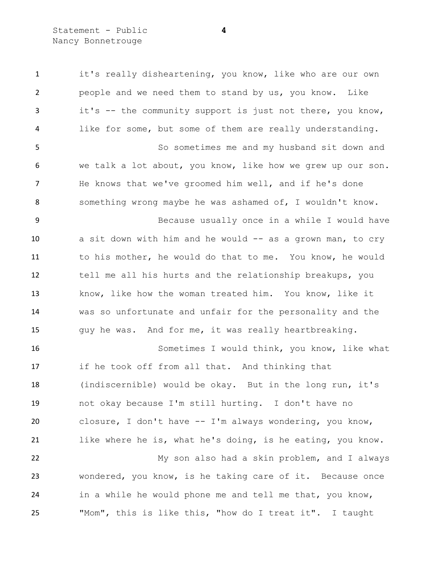Statement - Public **4** Nancy Bonnetrouge

1 it's really disheartening, you know, like who are our own people and we need them to stand by us, you know. Like it's -- the community support is just not there, you know, like for some, but some of them are really understanding. So sometimes me and my husband sit down and we talk a lot about, you know, like how we grew up our son. He knows that we've groomed him well, and if he's done something wrong maybe he was ashamed of, I wouldn't know. Because usually once in a while I would have 10 a sit down with him and he would -- as a grown man, to cry to his mother, he would do that to me. You know, he would tell me all his hurts and the relationship breakups, you know, like how the woman treated him. You know, like it was so unfortunate and unfair for the personality and the guy he was. And for me, it was really heartbreaking. Sometimes I would think, you know, like what if he took off from all that. And thinking that (indiscernible) would be okay. But in the long run, it's not okay because I'm still hurting. I don't have no closure, I don't have -- I'm always wondering, you know, like where he is, what he's doing, is he eating, you know. My son also had a skin problem, and I always wondered, you know, is he taking care of it. Because once in a while he would phone me and tell me that, you know, "Mom", this is like this, "how do I treat it". I taught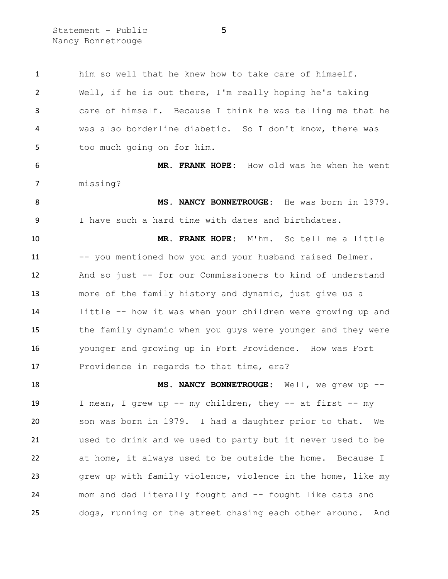Statement - Public **5** Nancy Bonnetrouge

 him so well that he knew how to take care of himself. Well, if he is out there, I'm really hoping he's taking care of himself. Because I think he was telling me that he was also borderline diabetic. So I don't know, there was too much going on for him.

 **MR. FRANK HOPE:** How old was he when he went missing?

 **MS. NANCY BONNETROUGE:** He was born in 1979. I have such a hard time with dates and birthdates.

 **MR. FRANK HOPE:** M'hm. So tell me a little 11 -- you mentioned how you and your husband raised Delmer. And so just -- for our Commissioners to kind of understand more of the family history and dynamic, just give us a little -- how it was when your children were growing up and the family dynamic when you guys were younger and they were younger and growing up in Fort Providence. How was Fort Providence in regards to that time, era?

 **MS. NANCY BONNETROUGE:** Well, we grew up -- I mean, I grew up -- my children, they -- at first -- my son was born in 1979. I had a daughter prior to that. We used to drink and we used to party but it never used to be at home, it always used to be outside the home. Because I grew up with family violence, violence in the home, like my mom and dad literally fought and -- fought like cats and dogs, running on the street chasing each other around. And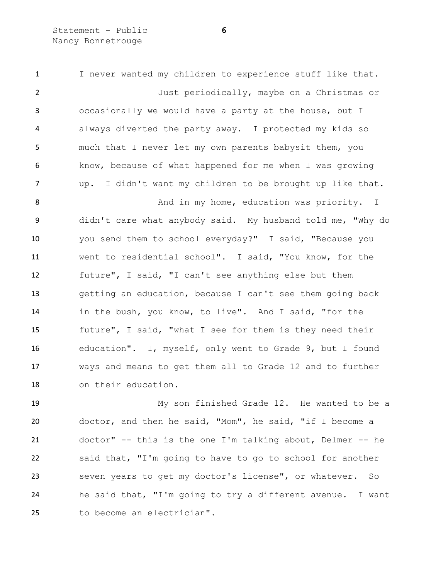Statement - Public **6** Nancy Bonnetrouge

 I never wanted my children to experience stuff like that. Just periodically, maybe on a Christmas or occasionally we would have a party at the house, but I always diverted the party away. I protected my kids so much that I never let my own parents babysit them, you know, because of what happened for me when I was growing up. I didn't want my children to be brought up like that. 8 And in my home, education was priority. I didn't care what anybody said. My husband told me, "Why do you send them to school everyday?" I said, "Because you went to residential school". I said, "You know, for the future", I said, "I can't see anything else but them getting an education, because I can't see them going back in the bush, you know, to live". And I said, "for the future", I said, "what I see for them is they need their education". I, myself, only went to Grade 9, but I found ways and means to get them all to Grade 12 and to further on their education.

 My son finished Grade 12. He wanted to be a doctor, and then he said, "Mom", he said, "if I become a doctor" -- this is the one I'm talking about, Delmer -- he said that, "I'm going to have to go to school for another seven years to get my doctor's license", or whatever. So he said that, "I'm going to try a different avenue. I want to become an electrician".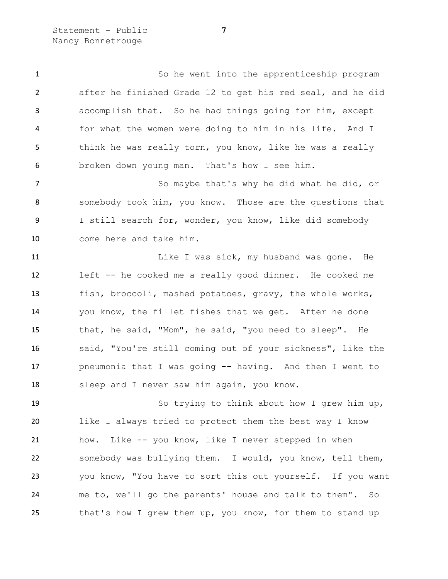Statement - Public **7** Nancy Bonnetrouge

 So he went into the apprenticeship program after he finished Grade 12 to get his red seal, and he did accomplish that. So he had things going for him, except for what the women were doing to him in his life. And I 5 think he was really torn, you know, like he was a really broken down young man. That's how I see him.

7 So maybe that's why he did what he did, or somebody took him, you know. Those are the questions that I still search for, wonder, you know, like did somebody come here and take him.

11 Like I was sick, my husband was gone. He left -- he cooked me a really good dinner. He cooked me fish, broccoli, mashed potatoes, gravy, the whole works, you know, the fillet fishes that we get. After he done that, he said, "Mom", he said, "you need to sleep". He said, "You're still coming out of your sickness", like the pneumonia that I was going -- having. And then I went to sleep and I never saw him again, you know.

 So trying to think about how I grew him up, like I always tried to protect them the best way I know how. Like -- you know, like I never stepped in when somebody was bullying them. I would, you know, tell them, you know, "You have to sort this out yourself. If you want me to, we'll go the parents' house and talk to them". So 25 that's how I grew them up, you know, for them to stand up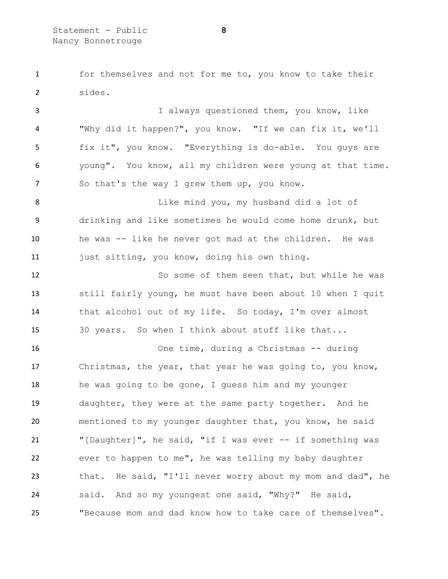for themselves and not for me to, you know to take their sides.

 I always questioned them, you know, like "Why did it happen?", you know. "If we can fix it, we'll fix it", you know. "Everything is do-able. You guys are young". You know, all my children were young at that time. 7 So that's the way I grew them up, you know.

 Like mind you, my husband did a lot of drinking and like sometimes he would come home drunk, but he was -- like he never got mad at the children. He was just sitting, you know, doing his own thing.

 So some of them seen that, but while he was still fairly young, he must have been about 10 when I quit that alcohol out of my life. So today, I'm over almost 30 years. So when I think about stuff like that...

 One time, during a Christmas -- during Christmas, the year, that year he was going to, you know, he was going to be gone, I guess him and my younger daughter, they were at the same party together. And he mentioned to my younger daughter that, you know, he said "[Daughter]", he said, "if I was ever -- if something was ever to happen to me", he was telling my baby daughter that. He said, "I'll never worry about my mom and dad", he said. And so my youngest one said, "Why?" He said, "Because mom and dad know how to take care of themselves".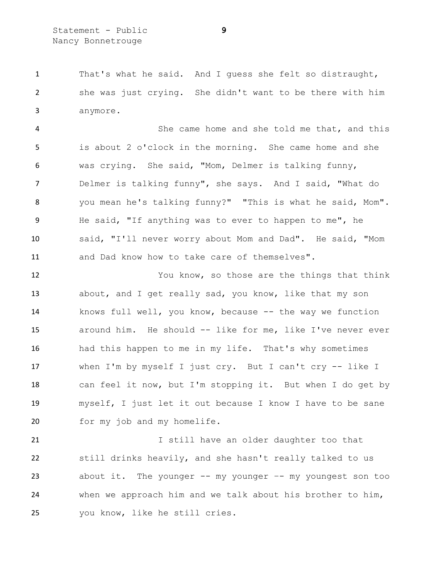That's what he said. And I guess she felt so distraught, she was just crying. She didn't want to be there with him anymore.

 She came home and she told me that, and this is about 2 o'clock in the morning. She came home and she was crying. She said, "Mom, Delmer is talking funny, Delmer is talking funny", she says. And I said, "What do you mean he's talking funny?" "This is what he said, Mom". He said, "If anything was to ever to happen to me", he said, "I'll never worry about Mom and Dad". He said, "Mom and Dad know how to take care of themselves".

 You know, so those are the things that think about, and I get really sad, you know, like that my son knows full well, you know, because -- the way we function around him. He should -- like for me, like I've never ever had this happen to me in my life. That's why sometimes when I'm by myself I just cry. But I can't cry -- like I can feel it now, but I'm stopping it. But when I do get by myself, I just let it out because I know I have to be sane for my job and my homelife.

 I still have an older daughter too that still drinks heavily, and she hasn't really talked to us about it. The younger -- my younger –- my youngest son too when we approach him and we talk about his brother to him, you know, like he still cries.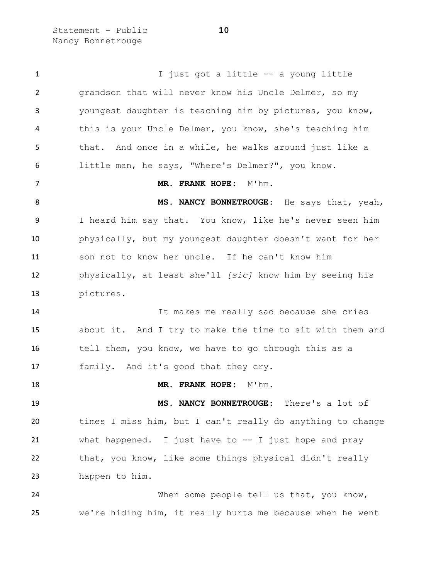Statement - Public **10** Nancy Bonnetrouge

1 I just got a little -- a young little grandson that will never know his Uncle Delmer, so my youngest daughter is teaching him by pictures, you know, this is your Uncle Delmer, you know, she's teaching him that. And once in a while, he walks around just like a little man, he says, "Where's Delmer?", you know. **MR. FRANK HOPE:** M'hm. **MS. NANCY BONNETROUGE:** He says that, yeah, I heard him say that. You know, like he's never seen him physically, but my youngest daughter doesn't want for her son not to know her uncle. If he can't know him physically, at least she'll *[sic]* know him by seeing his pictures. It makes me really sad because she cries about it. And I try to make the time to sit with them and 16 tell them, you know, we have to go through this as a family. And it's good that they cry. 18 MR. FRANK HOPE: M'hm. **MS. NANCY BONNETROUGE:** There's a lot of times I miss him, but I can't really do anything to change what happened. I just have to -- I just hope and pray that, you know, like some things physical didn't really happen to him. 24 When some people tell us that, you know, we're hiding him, it really hurts me because when he went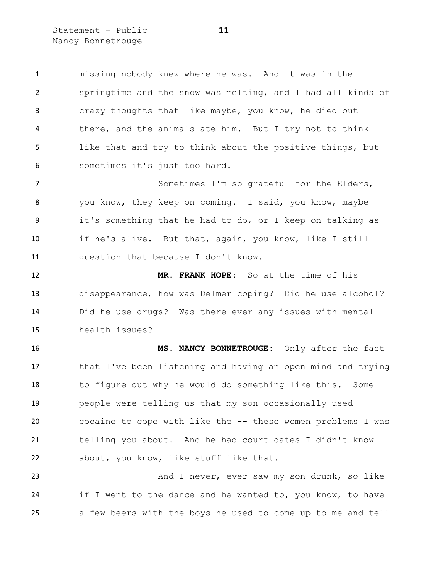Statement - Public **11** Nancy Bonnetrouge

 missing nobody knew where he was. And it was in the springtime and the snow was melting, and I had all kinds of crazy thoughts that like maybe, you know, he died out there, and the animals ate him. But I try not to think like that and try to think about the positive things, but sometimes it's just too hard.

7 Sometimes I'm so grateful for the Elders, you know, they keep on coming. I said, you know, maybe it's something that he had to do, or I keep on talking as if he's alive. But that, again, you know, like I still question that because I don't know.

 **MR. FRANK HOPE:** So at the time of his disappearance, how was Delmer coping? Did he use alcohol? Did he use drugs? Was there ever any issues with mental health issues?

 **MS. NANCY BONNETROUGE:** Only after the fact that I've been listening and having an open mind and trying to figure out why he would do something like this. Some people were telling us that my son occasionally used cocaine to cope with like the -- these women problems I was telling you about. And he had court dates I didn't know about, you know, like stuff like that.

 And I never, ever saw my son drunk, so like 24 if I went to the dance and he wanted to, you know, to have a few beers with the boys he used to come up to me and tell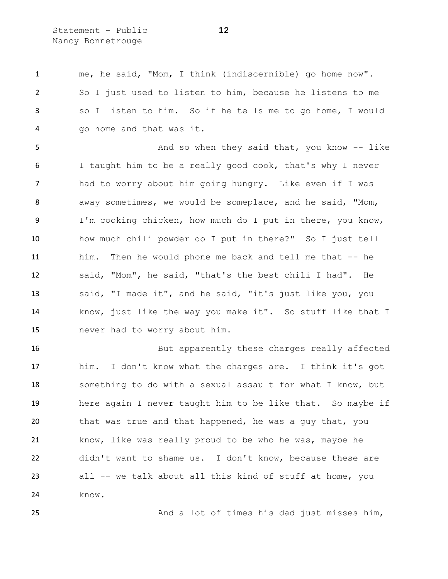Statement - Public **12** Nancy Bonnetrouge

 me, he said, "Mom, I think (indiscernible) go home now". So I just used to listen to him, because he listens to me so I listen to him. So if he tells me to go home, I would go home and that was it.

5 And so when they said that, you know -- like I taught him to be a really good cook, that's why I never had to worry about him going hungry. Like even if I was away sometimes, we would be someplace, and he said, "Mom, I'm cooking chicken, how much do I put in there, you know, how much chili powder do I put in there?" So I just tell him. Then he would phone me back and tell me that -- he said, "Mom", he said, "that's the best chili I had". He said, "I made it", and he said, "it's just like you, you know, just like the way you make it". So stuff like that I never had to worry about him.

 But apparently these charges really affected him. I don't know what the charges are. I think it's got something to do with a sexual assault for what I know, but here again I never taught him to be like that. So maybe if 20 that was true and that happened, he was a guy that, you know, like was really proud to be who he was, maybe he didn't want to shame us. I don't know, because these are all -- we talk about all this kind of stuff at home, you know.

And a lot of times his dad just misses him,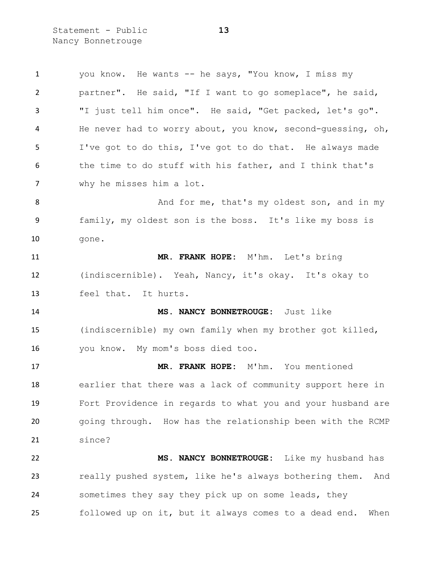Statement - Public **13** Nancy Bonnetrouge

| $\mathbf{1}$ | you know. He wants -- he says, "You know, I miss my           |
|--------------|---------------------------------------------------------------|
| 2            | partner". He said, "If I want to go someplace", he said,      |
| 3            | "I just tell him once". He said, "Get packed, let's go".      |
| 4            | He never had to worry about, you know, second-guessing, oh,   |
| 5            | I've got to do this, I've got to do that. He always made      |
| 6            | the time to do stuff with his father, and I think that's      |
| 7            | why he misses him a lot.                                      |
| 8            | And for me, that's my oldest son, and in my                   |
| 9            | family, my oldest son is the boss. It's like my boss is       |
| 10           | gone.                                                         |
| 11           | MR. FRANK HOPE: M'hm. Let's bring                             |
| 12           | (indiscernible). Yeah, Nancy, it's okay. It's okay to         |
| 13           | feel that. It hurts.                                          |
| 14           | MS. NANCY BONNETROUGE: Just like                              |
| 15           | (indiscernible) my own family when my brother got killed,     |
| 16           | you know. My mom's boss died too.                             |
|              |                                                               |
| 17           | MR. FRANK HOPE: M'hm. You mentioned                           |
| 18           | earlier that there was a lack of community support here in    |
| 19           | Fort Providence in regards to what you and your husband are   |
| 20           | going through. How has the relationship been with the RCMP    |
| 21           | since?                                                        |
| 22           | MS. NANCY BONNETROUGE:<br>Like my husband has                 |
| 23           | really pushed system, like he's always bothering them.<br>And |
| 24           | sometimes they say they pick up on some leads, they           |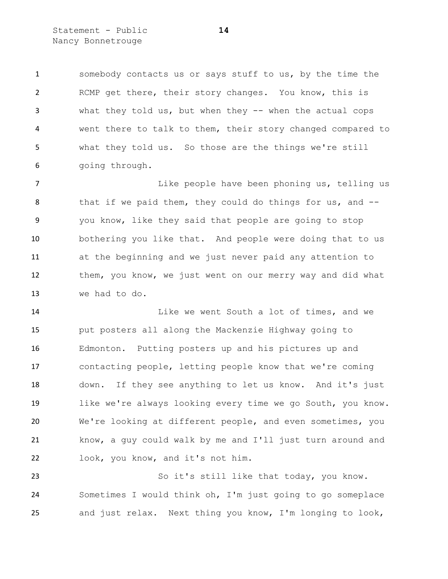Statement - Public **14** Nancy Bonnetrouge

 somebody contacts us or says stuff to us, by the time the RCMP get there, their story changes. You know, this is what they told us, but when they -- when the actual cops went there to talk to them, their story changed compared to what they told us. So those are the things we're still going through.

 Like people have been phoning us, telling us 8 that if we paid them, they could do things for us, and -- you know, like they said that people are going to stop bothering you like that. And people were doing that to us at the beginning and we just never paid any attention to them, you know, we just went on our merry way and did what we had to do.

**Like we went South a lot of times, and we**  put posters all along the Mackenzie Highway going to Edmonton. Putting posters up and his pictures up and contacting people, letting people know that we're coming down. If they see anything to let us know. And it's just like we're always looking every time we go South, you know. We're looking at different people, and even sometimes, you know, a guy could walk by me and I'll just turn around and look, you know, and it's not him.

 So it's still like that today, you know. Sometimes I would think oh, I'm just going to go someplace and just relax. Next thing you know, I'm longing to look,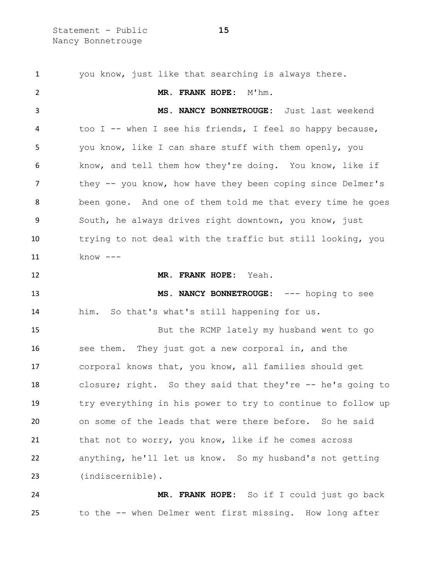Statement - Public **15** Nancy Bonnetrouge

 you know, just like that searching is always there. **MR. FRANK HOPE:** M'hm. **MS. NANCY BONNETROUGE:** Just last weekend too I -- when I see his friends, I feel so happy because, you know, like I can share stuff with them openly, you know, and tell them how they're doing. You know, like if they -- you know, how have they been coping since Delmer's been gone. And one of them told me that every time he goes South, he always drives right downtown, you know, just trying to not deal with the traffic but still looking, you know --- **MR. FRANK HOPE:** Yeah. **MS. NANCY BONNETROUGE:** --- hoping to see him. So that's what's still happening for us. But the RCMP lately my husband went to go see them. They just got a new corporal in, and the corporal knows that, you know, all families should get closure; right. So they said that they're -- he's going to try everything in his power to try to continue to follow up on some of the leads that were there before. So he said that not to worry, you know, like if he comes across anything, he'll let us know. So my husband's not getting (indiscernible). **MR. FRANK HOPE:** So if I could just go back

to the -- when Delmer went first missing. How long after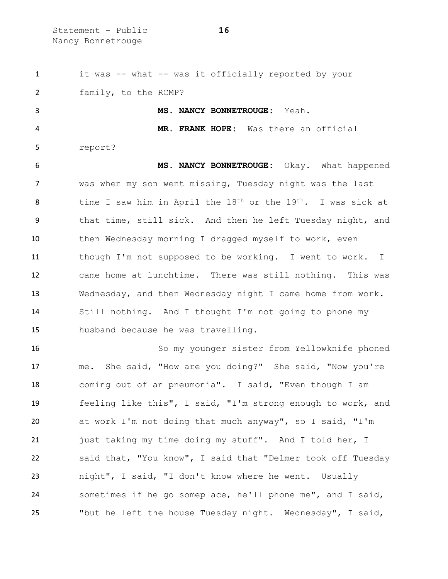Statement - Public **16** Nancy Bonnetrouge

 it was -- what -- was it officially reported by your family, to the RCMP? **MS. NANCY BONNETROUGE:** Yeah. **MR. FRANK HOPE:** Was there an official report? **MS. NANCY BONNETROUGE:** Okay. What happened was when my son went missing, Tuesday night was the last 8 time I saw him in April the 18<sup>th</sup> or the 19<sup>th</sup>. I was sick at that time, still sick. And then he left Tuesday night, and 10 then Wednesday morning I dragged myself to work, even though I'm not supposed to be working. I went to work. I came home at lunchtime. There was still nothing. This was Wednesday, and then Wednesday night I came home from work. Still nothing. And I thought I'm not going to phone my husband because he was travelling. So my younger sister from Yellowknife phoned

 me. She said, "How are you doing?" She said, "Now you're coming out of an pneumonia". I said, "Even though I am feeling like this", I said, "I'm strong enough to work, and at work I'm not doing that much anyway", so I said, "I'm 21 just taking my time doing my stuff". And I told her, I said that, "You know", I said that "Delmer took off Tuesday night", I said, "I don't know where he went. Usually sometimes if he go someplace, he'll phone me", and I said, "but he left the house Tuesday night. Wednesday", I said,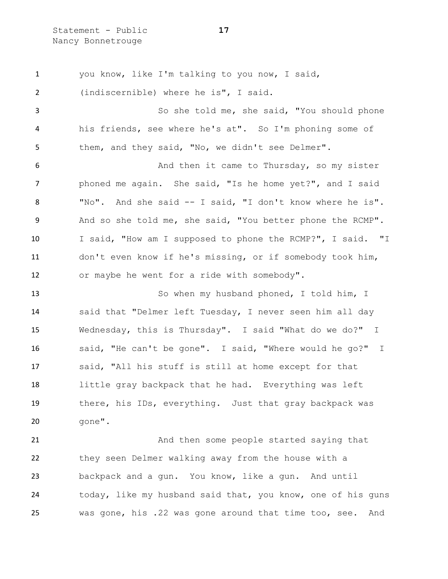Statement - Public **17** Nancy Bonnetrouge

 you know, like I'm talking to you now, I said, (indiscernible) where he is", I said. So she told me, she said, "You should phone his friends, see where he's at". So I'm phoning some of them, and they said, "No, we didn't see Delmer". And then it came to Thursday, so my sister phoned me again. She said, "Is he home yet?", and I said "No". And she said -- I said, "I don't know where he is". And so she told me, she said, "You better phone the RCMP". I said, "How am I supposed to phone the RCMP?", I said. "I don't even know if he's missing, or if somebody took him, or maybe he went for a ride with somebody". 13 So when my husband phoned, I told him, I said that "Delmer left Tuesday, I never seen him all day Wednesday, this is Thursday". I said "What do we do?" I said, "He can't be gone". I said, "Where would he go?" I said, "All his stuff is still at home except for that little gray backpack that he had. Everything was left there, his IDs, everything. Just that gray backpack was gone". And then some people started saying that they seen Delmer walking away from the house with a backpack and a gun. You know, like a gun. And until

24 today, like my husband said that, you know, one of his guns was gone, his .22 was gone around that time too, see. And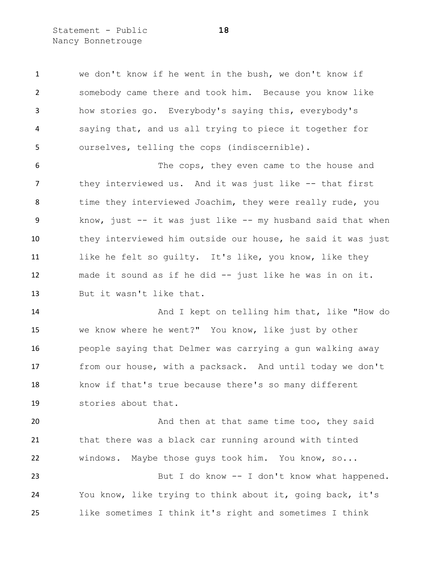Statement - Public **18** Nancy Bonnetrouge

 we don't know if he went in the bush, we don't know if somebody came there and took him. Because you know like how stories go. Everybody's saying this, everybody's saying that, and us all trying to piece it together for ourselves, telling the cops (indiscernible).

 The cops, they even came to the house and 7 they interviewed us. And it was just like -- that first 8 time they interviewed Joachim, they were really rude, you know, just -- it was just like -- my husband said that when they interviewed him outside our house, he said it was just 11 like he felt so guilty. It's like, you know, like they made it sound as if he did -- just like he was in on it. But it wasn't like that.

 And I kept on telling him that, like "How do we know where he went?" You know, like just by other people saying that Delmer was carrying a gun walking away from our house, with a packsack. And until today we don't know if that's true because there's so many different stories about that.

**And then at that same time too, they said**  that there was a black car running around with tinted windows. Maybe those guys took him. You know, so... 23 But I do know -- I don't know what happened. You know, like trying to think about it, going back, it's

like sometimes I think it's right and sometimes I think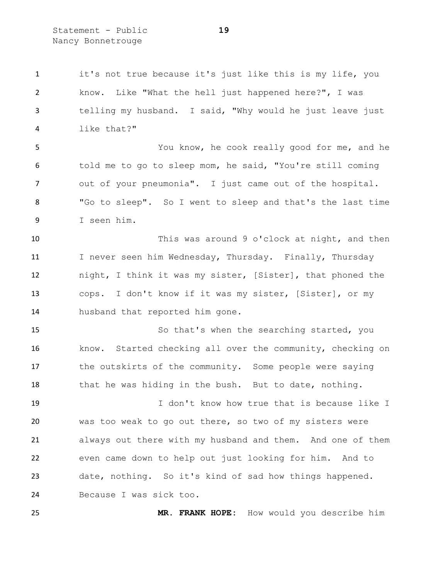Statement - Public **19** Nancy Bonnetrouge

 it's not true because it's just like this is my life, you know. Like "What the hell just happened here?", I was telling my husband. I said, "Why would he just leave just like that?"

 You know, he cook really good for me, and he told me to go to sleep mom, he said, "You're still coming out of your pneumonia". I just came out of the hospital. "Go to sleep". So I went to sleep and that's the last time I seen him.

 This was around 9 o'clock at night, and then 11 I never seen him Wednesday, Thursday. Finally, Thursday night, I think it was my sister, [Sister], that phoned the cops. I don't know if it was my sister, [Sister], or my husband that reported him gone.

 So that's when the searching started, you know. Started checking all over the community, checking on 17 the outskirts of the community. Some people were saying 18 that he was hiding in the bush. But to date, nothing.

 I don't know how true that is because like I was too weak to go out there, so two of my sisters were always out there with my husband and them. And one of them even came down to help out just looking for him. And to date, nothing. So it's kind of sad how things happened. Because I was sick too.

**MR. FRANK HOPE:** How would you describe him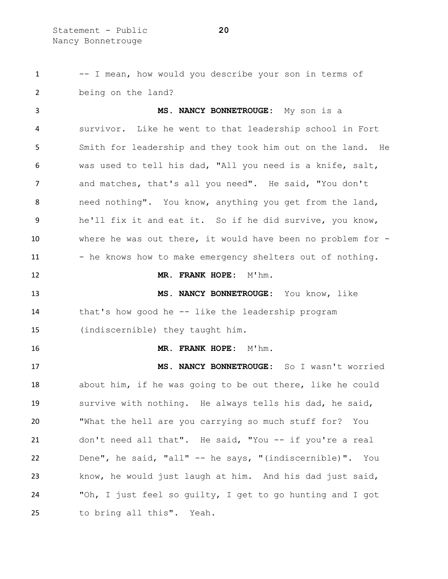-- I mean, how would you describe your son in terms of being on the land? **MS. NANCY BONNETROUGE:** My son is a survivor. Like he went to that leadership school in Fort Smith for leadership and they took him out on the land. He was used to tell his dad, "All you need is a knife, salt, and matches, that's all you need". He said, "You don't need nothing". You know, anything you get from the land, he'll fix it and eat it. So if he did survive, you know, where he was out there, it would have been no problem for - 11 - he knows how to make emergency shelters out of nothing. **MR. FRANK HOPE:** M'hm. **MS. NANCY BONNETROUGE:** You know, like that's how good he -- like the leadership program (indiscernible) they taught him. **MR. FRANK HOPE:** M'hm. **MS. NANCY BONNETROUGE:** So I wasn't worried about him, if he was going to be out there, like he could survive with nothing. He always tells his dad, he said, "What the hell are you carrying so much stuff for? You don't need all that". He said, "You -- if you're a real Dene", he said, "all" -- he says, "(indiscernible)". You know, he would just laugh at him. And his dad just said, "Oh, I just feel so guilty, I get to go hunting and I got to bring all this". Yeah.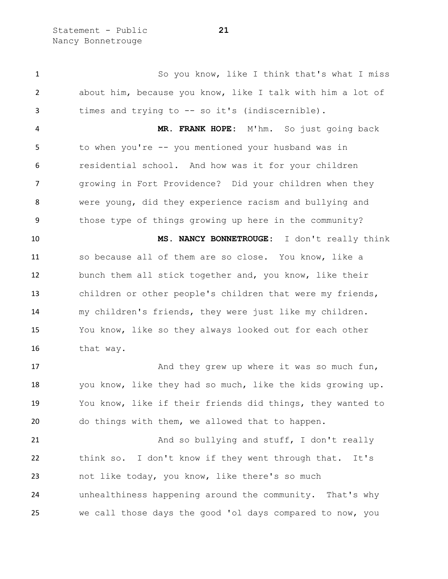Statement - Public **21** Nancy Bonnetrouge

 So you know, like I think that's what I miss about him, because you know, like I talk with him a lot of times and trying to -- so it's (indiscernible).

 **MR. FRANK HOPE:** M'hm. So just going back to when you're -- you mentioned your husband was in residential school. And how was it for your children growing in Fort Providence? Did your children when they were young, did they experience racism and bullying and those type of things growing up here in the community?

 **MS. NANCY BONNETROUGE:** I don't really think so because all of them are so close. You know, like a bunch them all stick together and, you know, like their children or other people's children that were my friends, my children's friends, they were just like my children. You know, like so they always looked out for each other that way.

 And they grew up where it was so much fun, you know, like they had so much, like the kids growing up. You know, like if their friends did things, they wanted to do things with them, we allowed that to happen.

21 And so bullying and stuff, I don't really think so. I don't know if they went through that. It's not like today, you know, like there's so much unhealthiness happening around the community. That's why we call those days the good 'ol days compared to now, you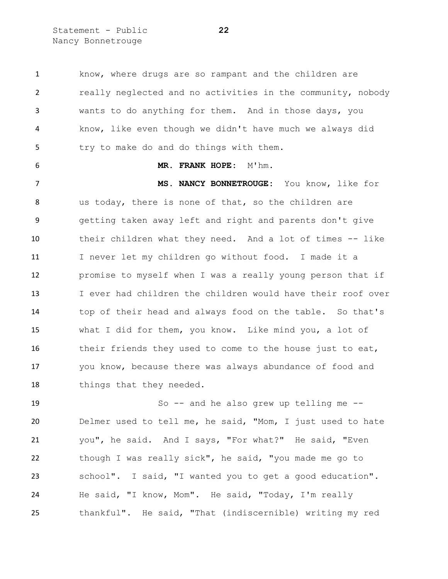Statement - Public **22** Nancy Bonnetrouge

1 know, where drugs are so rampant and the children are really neglected and no activities in the community, nobody wants to do anything for them. And in those days, you know, like even though we didn't have much we always did try to make do and do things with them.

## **MR. FRANK HOPE:** M'hm.

 **MS. NANCY BONNETROUGE:** You know, like for us today, there is none of that, so the children are getting taken away left and right and parents don't give their children what they need. And a lot of times -- like I never let my children go without food. I made it a promise to myself when I was a really young person that if I ever had children the children would have their roof over top of their head and always food on the table. So that's what I did for them, you know. Like mind you, a lot of their friends they used to come to the house just to eat, you know, because there was always abundance of food and 18 things that they needed.

 So -- and he also grew up telling me -- Delmer used to tell me, he said, "Mom, I just used to hate you", he said. And I says, "For what?" He said, "Even though I was really sick", he said, "you made me go to school". I said, "I wanted you to get a good education". He said, "I know, Mom". He said, "Today, I'm really thankful". He said, "That (indiscernible) writing my red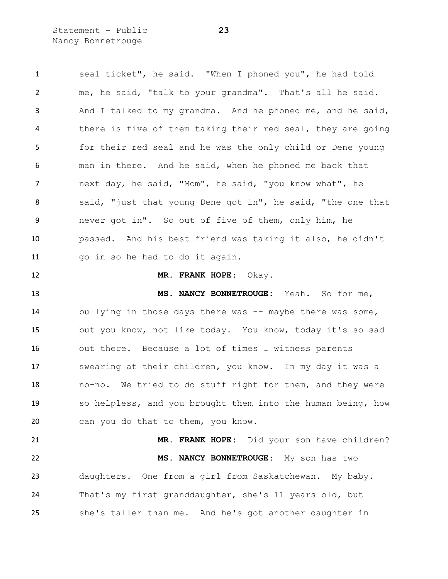Statement - Public **23** Nancy Bonnetrouge

 seal ticket", he said. "When I phoned you", he had told me, he said, "talk to your grandma". That's all he said. And I talked to my grandma. And he phoned me, and he said, 4 there is five of them taking their red seal, they are going for their red seal and he was the only child or Dene young man in there. And he said, when he phoned me back that next day, he said, "Mom", he said, "you know what", he 8 said, "just that young Dene got in", he said, "the one that never got in". So out of five of them, only him, he passed. And his best friend was taking it also, he didn't go in so he had to do it again. **MR. FRANK HOPE:** Okay. **MS. NANCY BONNETROUGE:** Yeah. So for me, 14 bullying in those days there was -- maybe there was some, but you know, not like today. You know, today it's so sad out there. Because a lot of times I witness parents swearing at their children, you know. In my day it was a no-no. We tried to do stuff right for them, and they were

 so helpless, and you brought them into the human being, how can you do that to them, you know.

 **MR. FRANK HOPE:** Did your son have children? **MS. NANCY BONNETROUGE:** My son has two daughters. One from a girl from Saskatchewan. My baby. That's my first granddaughter, she's 11 years old, but she's taller than me. And he's got another daughter in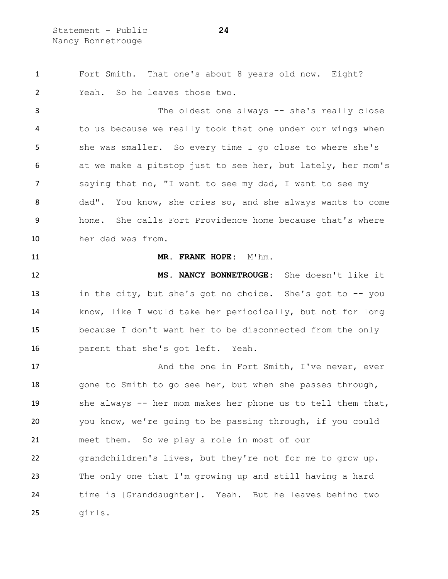Statement - Public **24** Nancy Bonnetrouge

 Fort Smith. That one's about 8 years old now. Eight? Yeah. So he leaves those two.

3 The oldest one always -- she's really close to us because we really took that one under our wings when she was smaller. So every time I go close to where she's at we make a pitstop just to see her, but lately, her mom's saying that no, "I want to see my dad, I want to see my dad". You know, she cries so, and she always wants to come home. She calls Fort Providence home because that's where her dad was from.

## 11 MR. FRANK HOPE: M'hm.

 **MS. NANCY BONNETROUGE:** She doesn't like it in the city, but she's got no choice. She's got to -- you know, like I would take her periodically, but not for long because I don't want her to be disconnected from the only parent that she's got left. Yeah.

17 And the one in Fort Smith, I've never, ever 18 gone to Smith to go see her, but when she passes through, she always -- her mom makes her phone us to tell them that, you know, we're going to be passing through, if you could meet them. So we play a role in most of our grandchildren's lives, but they're not for me to grow up. The only one that I'm growing up and still having a hard time is [Granddaughter]. Yeah. But he leaves behind two girls.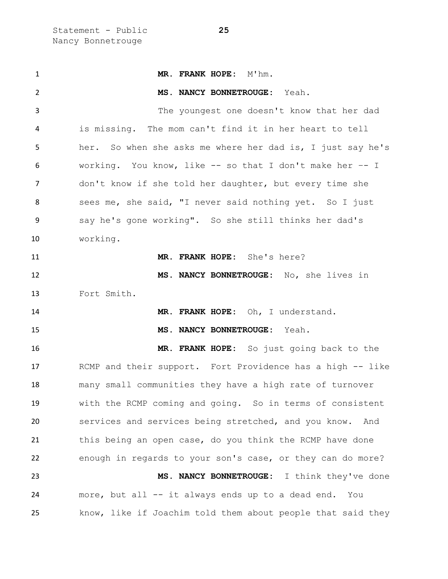| $\mathbf{1}$ | MR. FRANK HOPE: M'hm.                                       |
|--------------|-------------------------------------------------------------|
| 2            | MS. NANCY BONNETROUGE: Yeah.                                |
| 3            | The youngest one doesn't know that her dad                  |
| 4            | is missing. The mom can't find it in her heart to tell      |
| 5            | her. So when she asks me where her dad is, I just say he's  |
| 6            | working. You know, like -- so that I don't make her -- I    |
| 7            | don't know if she told her daughter, but every time she     |
| 8            | sees me, she said, "I never said nothing yet. So I just     |
| 9            | say he's gone working". So she still thinks her dad's       |
| 10           | working.                                                    |
| 11           | MR. FRANK HOPE: She's here?                                 |
| 12           | MS. NANCY BONNETROUGE: No, she lives in                     |
| 13           | Fort Smith.                                                 |
| 14           | MR. FRANK HOPE: Oh, I understand.                           |
| 15           | MS. NANCY BONNETROUGE: Yeah.                                |
| 16           | MR. FRANK HOPE: So just going back to the                   |
| 17           | RCMP and their support. Fort Providence has a high -- like  |
| 18           | many small communities they have a high rate of turnover    |
| 19           | with the RCMP coming and going. So in terms of consistent   |
| 20           | services and services being stretched, and you know. And    |
| 21           | this being an open case, do you think the RCMP have done    |
| 22           | enough in regards to your son's case, or they can do more?  |
| 23           | MS. NANCY BONNETROUGE: I think they've done                 |
| 24           | more, but all -- it always ends up to a dead end.<br>You    |
| 25           | know, like if Joachim told them about people that said they |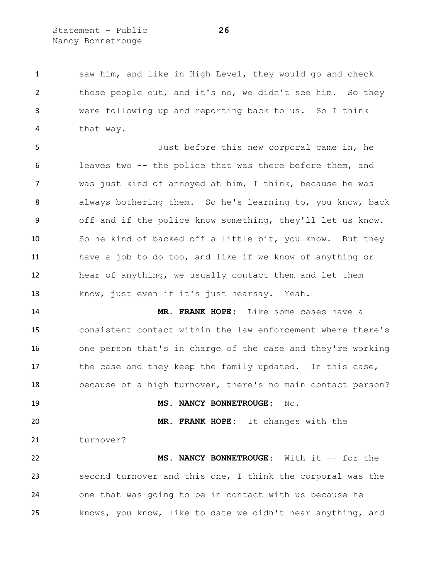Statement - Public **26** Nancy Bonnetrouge

 saw him, and like in High Level, they would go and check those people out, and it's no, we didn't see him. So they were following up and reporting back to us. So I think that way.

 Just before this new corporal came in, he leaves two -- the police that was there before them, and was just kind of annoyed at him, I think, because he was always bothering them. So he's learning to, you know, back off and if the police know something, they'll let us know. So he kind of backed off a little bit, you know. But they have a job to do too, and like if we know of anything or hear of anything, we usually contact them and let them know, just even if it's just hearsay. Yeah.

 **MR. FRANK HOPE:** Like some cases have a consistent contact within the law enforcement where there's one person that's in charge of the case and they're working 17 the case and they keep the family updated. In this case, because of a high turnover, there's no main contact person?

**MS. NANCY BONNETROUGE:** No.

 **MR. FRANK HOPE:** It changes with the 21 turnover?

 **MS. NANCY BONNETROUGE:** With it -- for the second turnover and this one, I think the corporal was the one that was going to be in contact with us because he knows, you know, like to date we didn't hear anything, and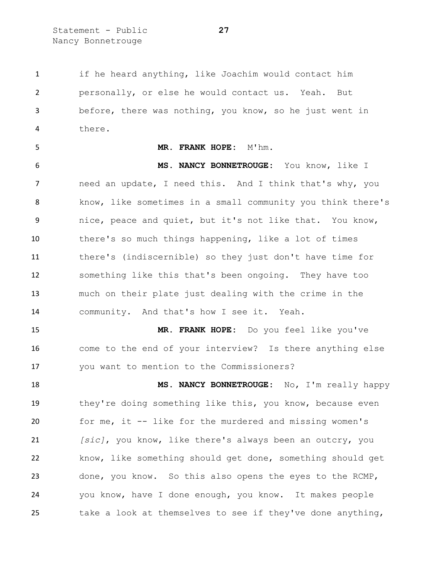Statement - Public **27** Nancy Bonnetrouge

 if he heard anything, like Joachim would contact him personally, or else he would contact us. Yeah. But before, there was nothing, you know, so he just went in there.

## **MR. FRANK HOPE:** M'hm.

 **MS. NANCY BONNETROUGE:** You know, like I need an update, I need this. And I think that's why, you know, like sometimes in a small community you think there's nice, peace and quiet, but it's not like that. You know, there's so much things happening, like a lot of times there's (indiscernible) so they just don't have time for something like this that's been ongoing. They have too much on their plate just dealing with the crime in the community. And that's how I see it. Yeah.

 **MR. FRANK HOPE:** Do you feel like you've come to the end of your interview? Is there anything else you want to mention to the Commissioners?

 **MS. NANCY BONNETROUGE:** No, I'm really happy they're doing something like this, you know, because even for me, it -- like for the murdered and missing women's *[sic]*, you know, like there's always been an outcry, you know, like something should get done, something should get done, you know. So this also opens the eyes to the RCMP, you know, have I done enough, you know. It makes people take a look at themselves to see if they've done anything,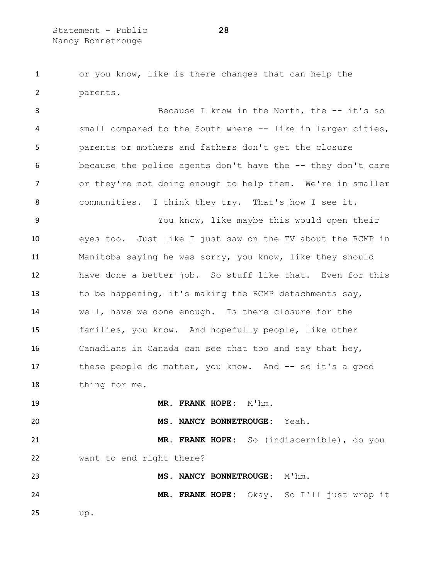or you know, like is there changes that can help the parents.

 Because I know in the North, the -- it's so small compared to the South where -- like in larger cities, parents or mothers and fathers don't get the closure because the police agents don't have the -- they don't care or they're not doing enough to help them. We're in smaller communities. I think they try. That's how I see it.

 You know, like maybe this would open their eyes too. Just like I just saw on the TV about the RCMP in Manitoba saying he was sorry, you know, like they should have done a better job. So stuff like that. Even for this to be happening, it's making the RCMP detachments say, well, have we done enough. Is there closure for the families, you know. And hopefully people, like other Canadians in Canada can see that too and say that hey, these people do matter, you know. And -- so it's a good thing for me.

**MR. FRANK HOPE:** M'hm.

**MS. NANCY BONNETROUGE:** Yeah.

 **MR. FRANK HOPE:** So (indiscernible), do you want to end right there?

 **MS. NANCY BONNETROUGE:** M'hm. **MR. FRANK HOPE:** Okay. So I'll just wrap it up.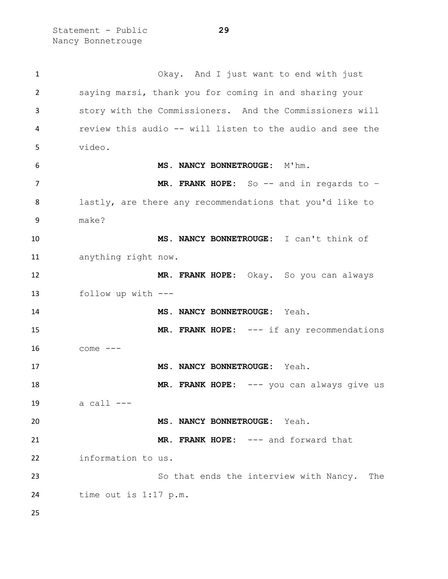Statement - Public **29** Nancy Bonnetrouge

 Okay. And I just want to end with just saying marsi, thank you for coming in and sharing your story with the Commissioners. And the Commissioners will review this audio -- will listen to the audio and see the video. **MS. NANCY BONNETROUGE:** M'hm. 7 MR. FRANK HOPE: So -- and in regards to - lastly, are there any recommendations that you'd like to make? **MS. NANCY BONNETROUGE:** I can't think of anything right now. **MR. FRANK HOPE:** Okay. So you can always follow up with --- **MS. NANCY BONNETROUGE:** Yeah. 15 MR. FRANK HOPE: --- if any recommendations come --- **MS. NANCY BONNETROUGE:** Yeah. **MR. FRANK HOPE:** --- you can always give us a call --- **MS. NANCY BONNETROUGE:** Yeah. **MR. FRANK HOPE:** --- and forward that information to us. 23 So that ends the interview with Nancy. The time out is 1:17 p.m.